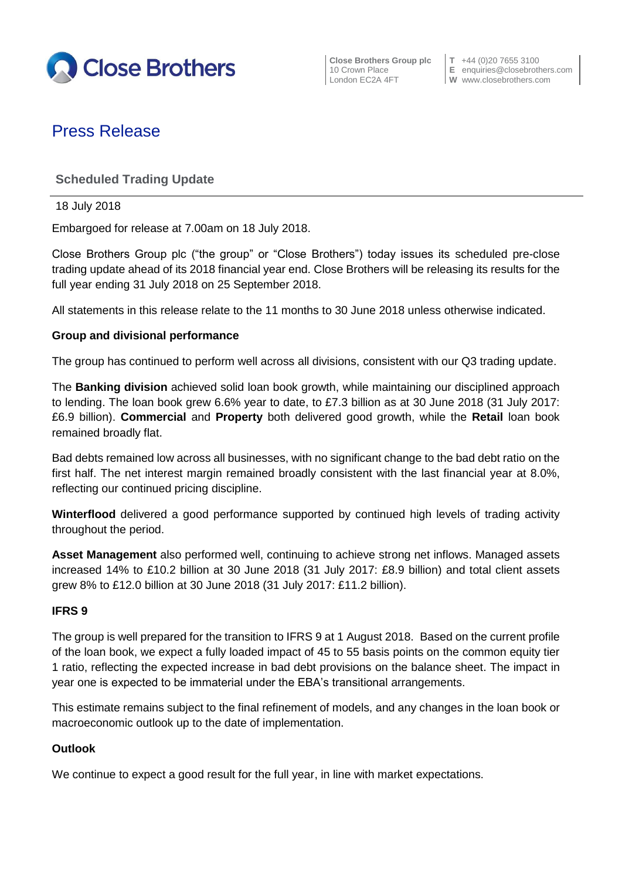

**Close Brothers Group plc**  $\begin{bmatrix} T & +44 & (0)20 & 7655 & 3100 \\ 10 & Crown \text{ Place} & E & \text{equities} & \text{E} \end{bmatrix}$ 

10 Crown Place **E** enquiries@closebrothers.com<br>
London EC2A 4FT **W** www.closebrothers.com **W** www.closebrothers.com

# Press Release

## **Scheduled Trading Update**

18 July 2018

Embargoed for release at 7.00am on 18 July 2018.

Close Brothers Group plc ("the group" or "Close Brothers") today issues its scheduled pre-close trading update ahead of its 2018 financial year end. Close Brothers will be releasing its results for the full year ending 31 July 2018 on 25 September 2018.

All statements in this release relate to the 11 months to 30 June 2018 unless otherwise indicated.

#### **Group and divisional performance**

The group has continued to perform well across all divisions, consistent with our Q3 trading update.

The **Banking division** achieved solid loan book growth, while maintaining our disciplined approach to lending. The loan book grew 6.6% year to date, to £7.3 billion as at 30 June 2018 (31 July 2017: £6.9 billion). **Commercial** and **Property** both delivered good growth, while the **Retail** loan book remained broadly flat.

Bad debts remained low across all businesses, with no significant change to the bad debt ratio on the first half. The net interest margin remained broadly consistent with the last financial year at 8.0%, reflecting our continued pricing discipline.

**Winterflood** delivered a good performance supported by continued high levels of trading activity throughout the period.

**Asset Management** also performed well, continuing to achieve strong net inflows. Managed assets increased 14% to £10.2 billion at 30 June 2018 (31 July 2017: £8.9 billion) and total client assets grew 8% to £12.0 billion at 30 June 2018 (31 July 2017: £11.2 billion).

#### **IFRS 9**

The group is well prepared for the transition to IFRS 9 at 1 August 2018. Based on the current profile of the loan book, we expect a fully loaded impact of 45 to 55 basis points on the common equity tier 1 ratio, reflecting the expected increase in bad debt provisions on the balance sheet. The impact in year one is expected to be immaterial under the EBA's transitional arrangements.

This estimate remains subject to the final refinement of models, and any changes in the loan book or macroeconomic outlook up to the date of implementation.

#### **Outlook**

We continue to expect a good result for the full year, in line with market expectations.